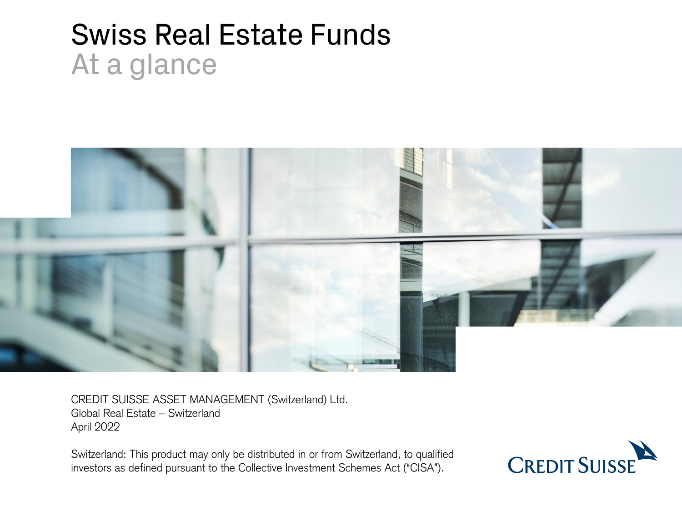# Swiss Real Estate Funds At a glance



CREDIT SUISSE ASSET MANAGEMENT (Switzerland) Ltd. Global Real Estate – Switzerland April 2022

Switzerland: This product may only be distributed in or from Switzerland, to qualified investors as defined pursuant to the Collective Investment Schemes Act ("CISA").

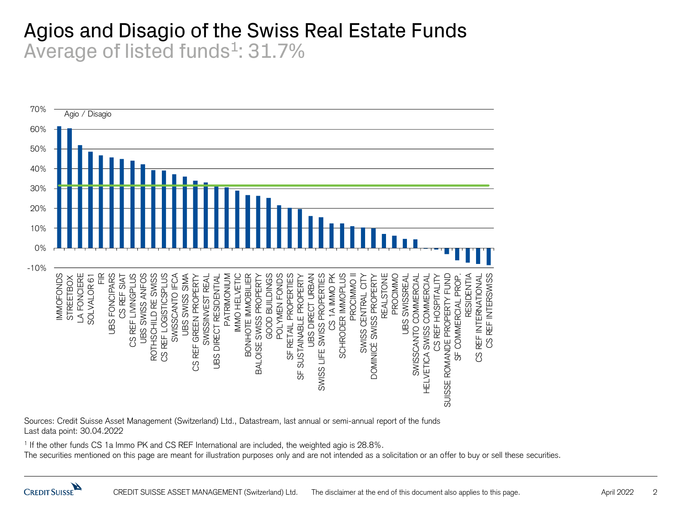#### Agios and Disagio of the Swiss Real Estate Funds Average of listed funds<sup>1</sup>: 31.7%



Sources: Credit Suisse Asset Management (Switzerland) Ltd., Datastream, last annual or semi-annual report of the funds Last data point: 30.04.2022

1 If the other funds CS 1a Immo PK and CS REF International are included, the weighted agio is 28.8%.

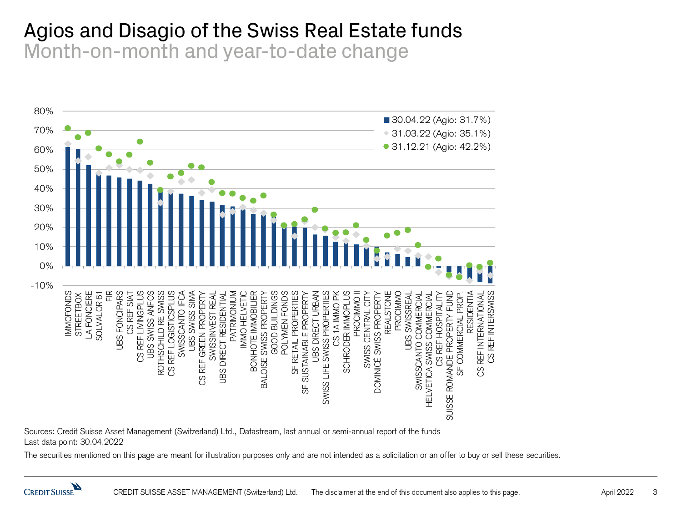#### Agios and Disagio of the Swiss Real Estate funds Month-on-month and year-to-date change



Sources: Credit Suisse Asset Management (Switzerland) Ltd., Datastream, last annual or semi-annual report of the funds Last data point: 30.04.2022

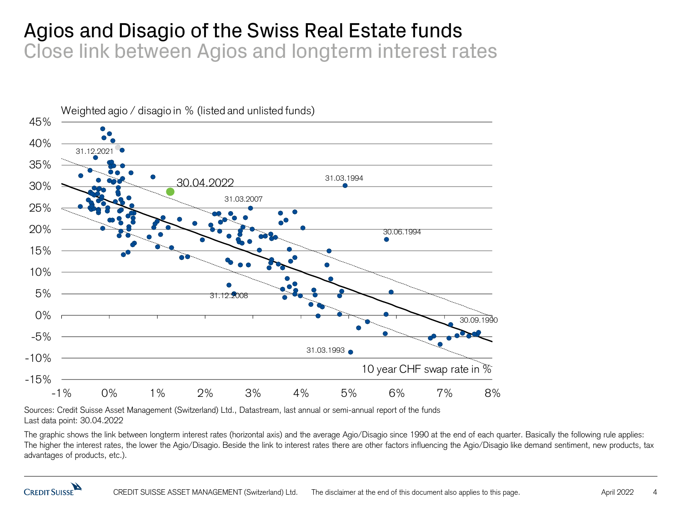#### Agios and Disagio of the Swiss Real Estate funds Close link between Agios and longterm interest rates



Sources: Credit Suisse Asset Management (Switzerland) Ltd., Datastream, last annual or semi-annual report of the funds Last data point: 30.04.2022

The graphic shows the link between longterm interest rates (horizontal axis) and the average Agio/Disagio since 1990 at the end of each quarter. Basically the following rule applies: The higher the interest rates, the lower the Agio/Disagio. Beside the link to interest rates there are other factors influencing the Agio/Disagio like demand sentiment, new products, tax advantages of products, etc.).

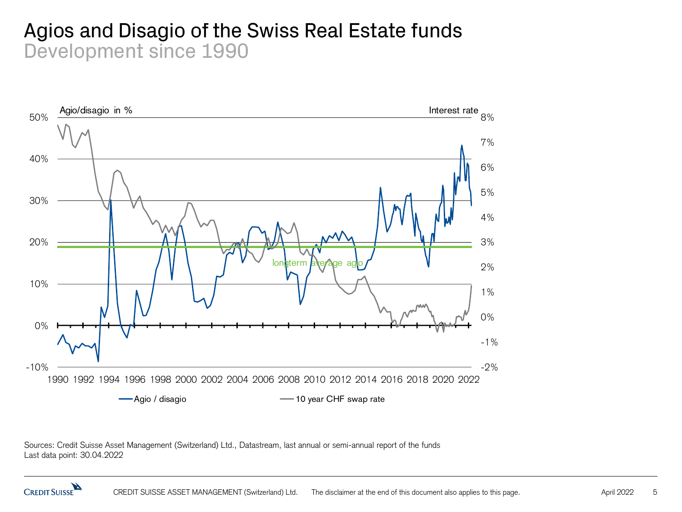#### Agios and Disagio of the Swiss Real Estate funds Development since 1990



Sources: Credit Suisse Asset Management (Switzerland) Ltd., Datastream, last annual or semi-annual report of the funds Last data point: 30.04.2022

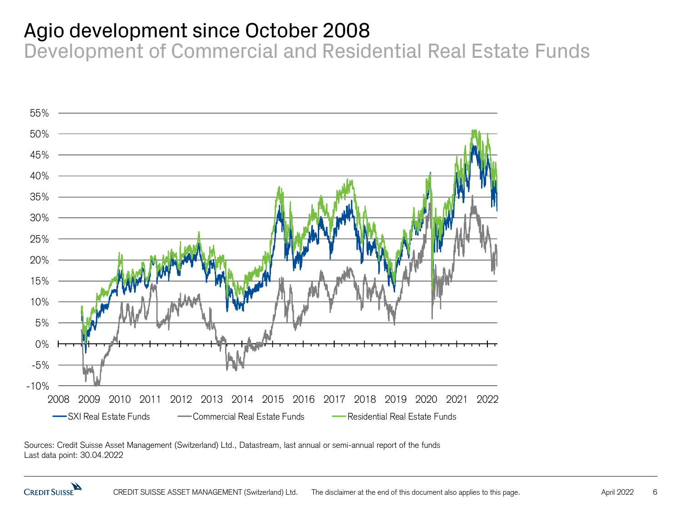#### Agio development since October 2008

Development of Commercial and Residential Real Estate Funds



Sources: Credit Suisse Asset Management (Switzerland) Ltd., Datastream, last annual or semi-annual report of the funds Last data point: 30.04.2022

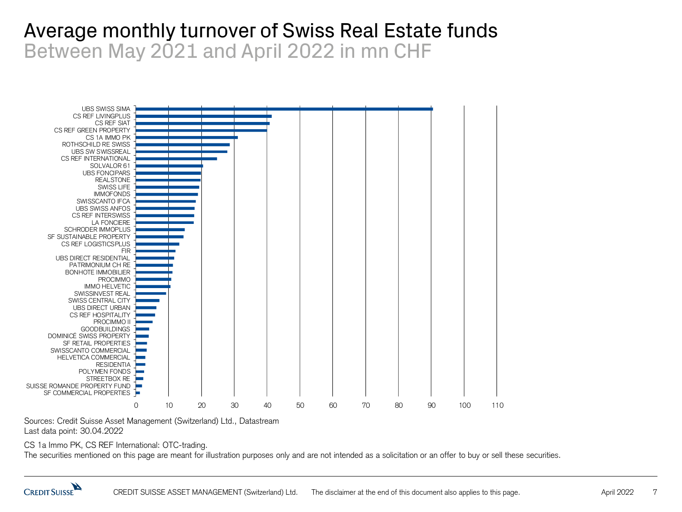#### Average monthly turnover of Swiss Real Estate funds Between May 2021 and April 2022 in mn CHF



Sources: Credit Suisse Asset Management (Switzerland) Ltd., Datastream Last data point: 30.04.2022

CS 1a Immo PK, CS REF International: OTC-trading.

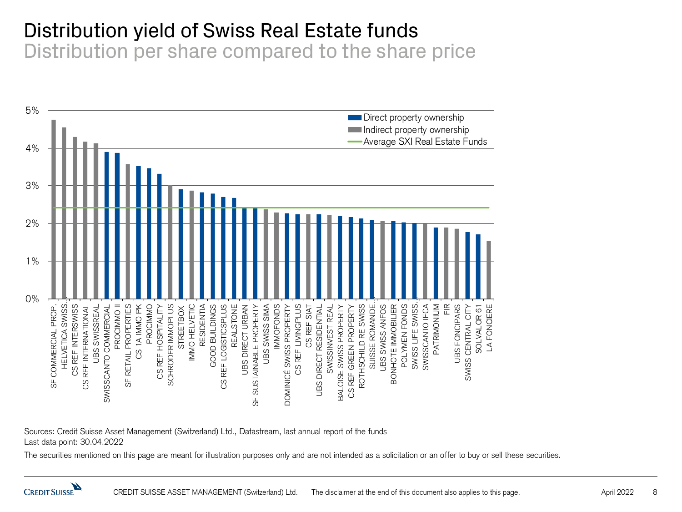#### Distribution yield of Swiss Real Estate funds

Distribution per share compared to the share price



Sources: Credit Suisse Asset Management (Switzerland) Ltd., Datastream, last annual report of the funds Last data point: 30.04.2022

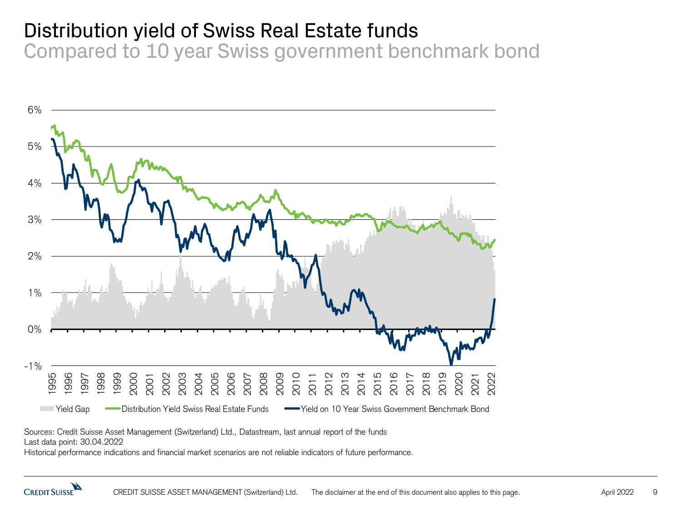## Distribution yield of Swiss Real Estate funds

Compared to 10 year Swiss government benchmark bond



Sources: Credit Suisse Asset Management (Switzerland) Ltd., Datastream, last annual report of the funds

Last data point: 30.04.2022

Historical performance indications and financial market scenarios are not reliable indicators of future performance.

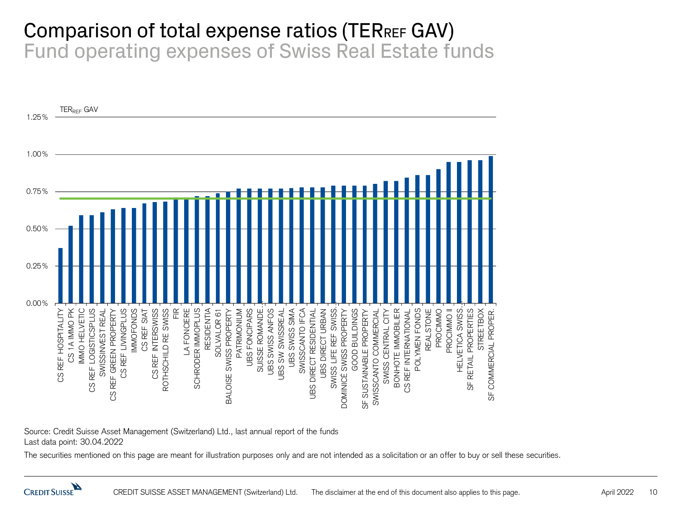#### Comparison of total expense ratios (TERREF GAV) Fund operating expenses of Swiss Real Estate funds



Source: Credit Suisse Asset Management (Switzerland) Ltd., last annual report of the funds Last data point: 30.04.2022

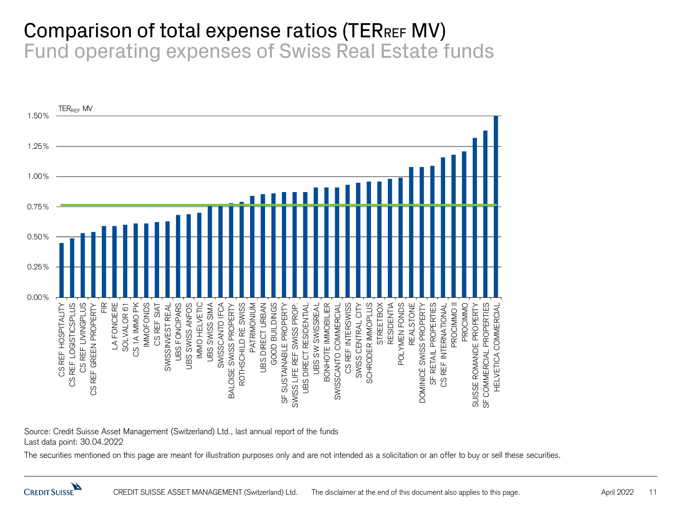#### Comparison of total expense ratios (TERREF MV) Fund operating expenses of Swiss Real Estate funds



Source: Credit Suisse Asset Management (Switzerland) Ltd., last annual report of the funds Last data point: 30.04.2022

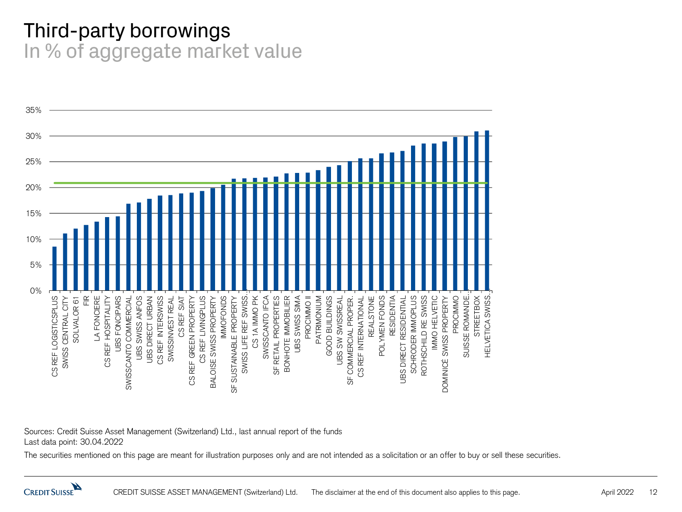#### Third-party borrowings In % of aggregate market value



Sources: Credit Suisse Asset Management (Switzerland) Ltd., last annual report of the funds Last data point: 30.04.2022

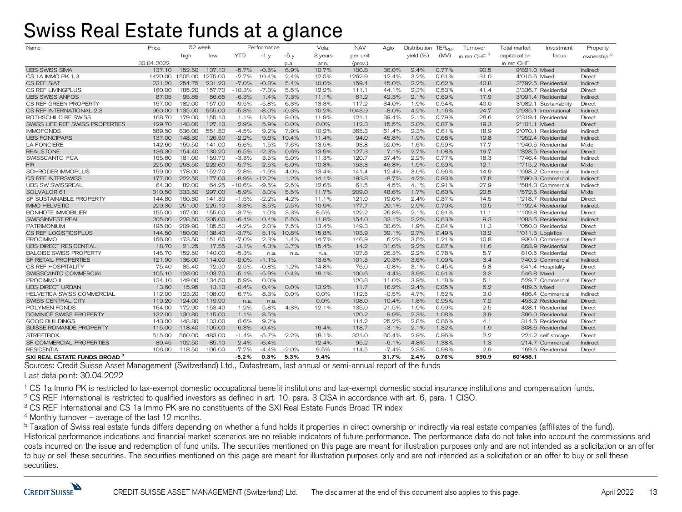#### Swiss Real Estate funds at a glance

| Name                                     | Price           | 52 week |         |            | Performance |         | Vola.   | <b>NAV</b>       | Agio    | Distribution TERREE |       | Turnover               | Total market           | Investment | Property               |
|------------------------------------------|-----------------|---------|---------|------------|-------------|---------|---------|------------------|---------|---------------------|-------|------------------------|------------------------|------------|------------------------|
|                                          |                 | high    | low     | <b>YTD</b> | $-1y$       | $-5v$   | 3 years | per unit         |         | yield (%)           | (MV)  | in mn CHF <sup>4</sup> | capitalization         | focus      | ownership <sup>5</sup> |
|                                          | 30.04.2022      |         |         |            |             | p.a.    | ann.    | $(\text{prov.})$ |         |                     |       |                        | in mn CHF              |            |                        |
| <b>UBS SWISS SIMA</b>                    | 137.10          | 152.50  | 137.10  | $-5.7%$    | $-0.5%$     | 6.9%    | 10.7%   | 100.8            | 36.0%   | 2.4%                | 0.77% | 90.5                   | 9'821.0 Mixed          |            | Indirect               |
| CS 1A IMMO PK 1.3                        | 1420.00 1505.00 |         | 1275.00 | $-2.7%$    | 10.4%       | 2.4%    | 12.5%   | 1262.9           | 12.4%   | 3.2%                | 0.61% | 31.0                   | 4'015.6 Mixed          |            | Direct                 |
| CS REF SIAT                              | 231.20          | 254.75  | 231.20  | $-7.0%$    | $-0.8%$     | 5.4%    | 10.0%   | 159.4            | 45.0%   | 2.2%                | 0.62% | 40.8                   | 3'792.5 Residential    |            | Indirect               |
| CS REF LIVINGPLUS                        | 160.00          | 185.20  | 157.70  | $-10.3%$   | $-7.3%$     | 5.5%    | 12.2%   | 111.1            | 44.1%   | 2.3%                | 0.53% | 41.4                   | 3'336.7 Residential    |            | Direct                 |
| <b>UBS SWISS ANFOS</b>                   | 87.05           | 95.85   | 86.65   | $-6.3%$    | 1.4%        | 7.3%    | 11.1%   | 61.2             | 42.3%   | 2.1%                | 0.69% | 17.9                   | 3'091.4 Residential    |            | Indirect               |
| CS REF GREEN PROPERTY                    | 157.00          | 182.00  | 157.00  | $-9.5%$    | $-5.8%$     | 6.3%    | 13.3%   | 117.2            | 34.0%   | 1.9%                | 0.54% | 40.0                   | 3'082.1 Sustainability |            | Direct                 |
| CS REF INTERNATIONAL 2.3                 | 960.00          | 1135.00 | 955.00  | $-5.3%$    | $-8.0%$     | $-0.3%$ | 10.2%   | 1043.9           | $-8.0%$ | 4.2%                | 1.16% | 24.7                   | 2'935.1 International  |            | Indirect               |
| ROTHSCHILD RE SWISS                      | 168.70          | 179.00  | 155.10  | 1.1%       | 13.6%       | 9.0%    | 11.9%   | 121.1            | 39.4%   | 2.1%                | 0.79% | 28.6                   | 2'319.1 Residential    |            | Direct                 |
| SWISS LIFE REF SWISS PROPERTIES          | 129.70          | 148.00  | 127.10  | 2.9%       | 5.9%        | 0.0%    | 0.0%    | 112.3            | 15.5%   | 2.0%                | 0.87% | 19.3                   | 2'101.1 Mixed          |            | Direct                 |
| <b>IMMOFONDS</b>                         | 589.50          | 636.00  | 551.50  | $-4.5%$    | 9.2%        | 7.9%    | 10.2%   | 365.3            | 61.4%   | 2.3%                | 0.61% | 18.9                   | 2'070.1 Residential    |            | Indirect               |
| <b>UBS FONCIPARS</b>                     | 137.00          | 148.30  | 126.50  | $-2.2%$    | 9.6%        | 10.4%   | 11.4%   | 94.0             | 45.8%   | 1.9%                | 0.68% | 19.8                   | 1'952.4 Residential    |            | Indirect               |
| <b>LA FONCIERE</b>                       | 142.60          | 159.50  | 141.00  | $-5.6%$    | 1.5%        | 7.6%    | 13.5%   | 93.8             | 52.0%   | 1.6%                | 0.59% | 17.7                   | 1'940.5 Residential    |            | Mixte                  |
| <b>REALSTONE</b>                         | 136.30          | 154.40  | 130.20  | $-6.5%$    | $-2.3%$     | 0.6%    | 13.9%   | 127.3            | 7.1%    | 2.7%                | 1.08% | 19.7                   | 1'828.5 Residential    |            | Direct                 |
| SWISSCANTO IFCA                          | 165.80          | 181.00  | 159.70  | $-3.3%$    | 3.5%        | 5.0%    | 11.3%   | 120.7            | 37.4%   | 2.2%                | 0.77% | 18.3                   | 1'746.4 Residential    |            | Indirect               |
| <b>FIR</b>                               | 225.00          | 253.50  | 222.60  | $-5.7%$    | 2.5%        | 6.0%    | 10.3%   | 153.3            | 46.8%   | 1.9%                | 0.59% | 12.1                   | 1'715.2 Residential    |            | Mixte                  |
| <b>SCHRODER IMMOPLUS</b>                 | 159.00          | 178.00  | 152.70  | $-2.8%$    | $-1.9%$     | 4.0%    | 13.4%   | 141.4            | 12.4%   | 3.0%                | 0.96% | 14.9                   | 1'698.2 Commercial     |            | Indirect               |
| <b>CS REF INTERSWISS</b>                 | 177.00          | 222.50  | 177.00  | $-8.9%$    | $-12.2%$    | 1.2%    | 14.1%   | 193.8            | $-8.7%$ | 4.2%                | 0.93% | 17.8                   | 1'590.3 Commercial     |            | Indirect               |
| <b>UBS SW SWISSREAL</b>                  | 64.30           | 82.00   | 64.25   | $-10.6%$   | $-9.5%$     | 2.5%    | 12.6%   | 61.5             | 4.5%    | 4.1%                | 0.91% | 27.9                   | 1'584.3 Commercial     |            | Indirect               |
| SOLVALOR 61                              | 310.50          | 333.50  | 297.00  | $-5.9%$    | 3.0%        | 5.5%    | 11.7%   | 209.0            | 48.6%   | 1.7%                | 0.60% | 20.5                   | 1'572.5 Residential    |            | Mixte                  |
| SF SUSTAINABLE PROPERTY                  | 144.80          | 160.30  | 141.30  | $-1.5%$    | $-2.2%$     | 4.2%    | 11.1%   | 121.0            | 19.6%   | 2.4%                | 0.87% | 14.5                   | 1'218.7 Residential    |            | Direct                 |
| <b>IMMO HELVETIC</b>                     | 229.30          | 251.00  | 225.10  | $-3.3%$    | 3.5%        | 2.5%    | 10.9%   | 177.7            | 29.1%   | 2.9%                | 0.70% | 10.5                   | 1'192.4 Residential    |            | Indirect               |
| BONHOTE IMMOBILIER                       | 155.00          | 167.00  | 155.00  | $-3.7%$    | 1.0%        | 3.3%    | 8.5%    | 122.2            | 26.8%   | 2.1%                | 0.91% | 11.1                   | 1'109.8 Residential    |            | Direct                 |
| SWISSINVEST REAL                         | 205.00          | 228.50  | 205.00  | $-6.4%$    | 0.4%        | 5.5%    | 11.8%   | 154.0            | 33.1%   | 2.2%                | 0.63% | 9.3                    | 1'083.6 Residential    |            | Indirect               |
| <b>PATRIMONIUM</b>                       | 195.00          | 209.90  | 185.50  | $-4.2%$    | 2.0%        | 7.5%    | 13.4%   | 149.3            | 30.6%   | 1.9%                | 0.84% | 11.3                   | 1'050.0 Residential    |            | Direct                 |
| CS REF LOGISTICSPLUS                     | 144.50          | 150.00  | 138.40  | $-3.7%$    | 5.1%        | 10.8%   | 15.8%   | 103.9            | 39.1%   | 2.7%                | 0.49% | 13.2                   | 1'011.5 Logistics      |            | Direct                 |
| <b>PROCIMMO</b>                          | 156.00          | 173.50  | 151.60  | $-7.0%$    | 2.3%        | 1.4%    | 14.7%   | 146.9            | 6.2%    | 3.5%                | 1.21% | 10.8                   | 930.0 Commercial       |            | Direct                 |
| <b>UBS DIRECT RESIDENTIAL</b>            | 18.70           | 21.25   | 17.55   | $-3.1%$    | 4.3%        | 3.7%    | 15.4%   | 14.2             | 31.6%   | 2.2%                | 0.87% | 11.6                   | 868.9 Residential      |            | Direct                 |
| <b>BALOISE SWISS PROPERTY</b>            | 145.70          | 152.50  | 140.00  | $-5.3%$    | n.a.        | n.a.    | n.a.    | 107.8            | 26.3%   | 2.2%                | 0.78% | 5.7                    | 810.5 Residential      |            | Direct                 |
| <b>SF RETAIL PROPERTIES</b>              | 121.90          | 136.00  | 114.00  | $-2.0%$    | $-1.1%$     |         | 13.5%   | 101.3            | 20.3%   | 3.6%                | 1.09% | 3.4                    | 740.5 Commercial       |            | Indirect               |
| CS REF HOSPITALITY                       | 75.40           | 85.40   | 72.50   | $-2.5%$    | $-0.8%$     | 1.2%    | 14.8%   | 76.0             | $-0.8%$ | 3.1%                | 0.45% | 5.8                    | 641.4 Hospitality      |            | Direct                 |
| SWISSCANTO COMMERCIAL                    | 105.10          | 128.00  | 103.70  | $-5.1%$    | $-5.9%$     | 0.4%    | 18.1%   | 100.6            | 4.4%    | 3.9%                | 0.91% | 3.3                    | 546.8 Mixed            |            | Direct                 |
| PROCIMMO <sup>II</sup>                   | 134.10          | 149.00  | 134.50  | 5.9%       | 0.0%        |         |         | 120.8            | 11.0%   | 3.9%                | 1.18% | 5.1                    | 529.7 Commercial       |            | Direct                 |
| <b>UBS DIRECT URBAN</b>                  | 13.60           | 15.95   | 13.10   | $-0.4%$    | 0.4%        | 0.0%    | 13.2%   | 11.7             | 16.2%   | 2.4%                | 0.85% | 6.2                    | 489.5 Mixed            |            | Direct                 |
| <b>HELVETICA SWISS COMMERCIAL</b>        | 112.00          | 123.20  | 108.00  | 6.7%       | 8.3%        | 0.0%    | 0.0%    | 112.5            | $-0.5%$ | 4.7%                | 1.52% | 3.0                    | 486.4 Commercial       |            | Indirect               |
| SWISS CENTRAL CITY                       | 119.20          | 124.00  | 119.90  | n.a.       | n.a.        |         | 0.0%    | 108.0            | 10.4%   | 1.8%                | 0.95% | 7.2                    | 453.2 Residential      |            | Direct                 |
| POLYMEN FONDS                            | 164.00          | 172.90  | 153.40  | 1.2%       | 5.8%        | 4.3%    | 12.1%   | 135.0            | 21.5%   | 1.9%                | 0.99% | 2.5                    | 428.1 Residential      |            | Direct                 |
| <b>DOMINICÉ SWISS PROPERTY</b>           | 132.00          | 130.80  | 115.00  | 1.1%       | 8.5%        |         |         | 120.2            | 9.9%    | 2.3%                | 1.08% | 3.9                    | 396.0 Residential      |            | Direct                 |
| <b>GOOD BUILDINGS</b>                    | 143.00          | 148.80  | 133.00  | 0.6%       | 9.2%        |         |         | 114.2            | 25.2%   | 2.8%                | 0.86% | 4.1                    | 314.6 Residential      |            | Direct                 |
| SUISSE ROMANDE PROPERTY                  | 115.00          | 118.40  | 105.00  | 6.3%       | $-0.4%$     |         | 16.4%   | 118.7            | $-3.1%$ | 2.1%                | 1.32% | 1.9                    | 308.6 Residential      |            | Direct                 |
| <b>STREETBOX</b>                         | 515.00          | 560.00  | 483.00  | $-1.4%$    | $-5.7%$     | 2.2%    | 18.1%   | 321.0            | 60.4%   | 2.9%                | 0.96% | 2.2                    | 221.2 self storage     |            | Direct                 |
| SF COMMERCIAL PROPERTIES                 | 89.45           | 102.50  | 85.10   | 2.4%       | $-6.4%$     |         | 12.4%   | 95.2             | $-6.1%$ | 4.8%                | 1.38% | 1.3                    | 214.7 Commercial       |            | Indirect               |
| <b>RESIDENTIA</b>                        | 106.00          | 118.50  | 106.00  | $-7.7%$    | $-4.4%$     | $-2.0%$ | 9.5%    | 114.5            | $-7.4%$ | 2.3%                | 0.98% | 2.9                    | 169.6 Residential      |            | Direct                 |
| SXI REAL ESTATE FUNDS BROAD <sup>3</sup> |                 |         |         | $-5.2%$    | 0.3%        | 5.3%    | 9.4%    |                  | 31.7%   | 2.4%                | 0.76% | 590.9                  | 60'458.1               |            |                        |

Sources: Credit Suisse Asset Management (Switzerland) Ltd., Datastream, last annual or semi-annual report of the funds Last data point: 30.04.2022

<sup>1</sup> CS 1a Immo PK is restricted to tax-exempt domestic occupational benefit institutions and tax-exempt domestic social insurance institutions and compensation funds.

<sup>2</sup> CS REF International is restricted to qualified investors as defined in art. 10, para. 3 CISA in accordance with art. 6, para. 1 CISO.

<sup>3</sup> CS REF International and CS 1a Immo PK are no constituents of the SXI Real Estate Funds Broad TR index

 $4$  Monthly turnover – average of the last 12 months.

<sup>5</sup> Taxation of Swiss real estate funds differs depending on whether a fund holds it properties in direct ownership or indirectly via real estate companies (affiliates of the fund). Historical performance indications and financial market scenarios are no reliable indicators of future performance. The performance data do not take into account the commissions and costs incurred on the issue and redemption of fund units. The securities mentioned on this page are meant for illustration purposes only and are not intended as a solicitation or an offer to buy or sell these securities. The securities mentioned on this page are meant for illustration purposes only and are not intended as a solicitation or an offer to buy or sell these securities.

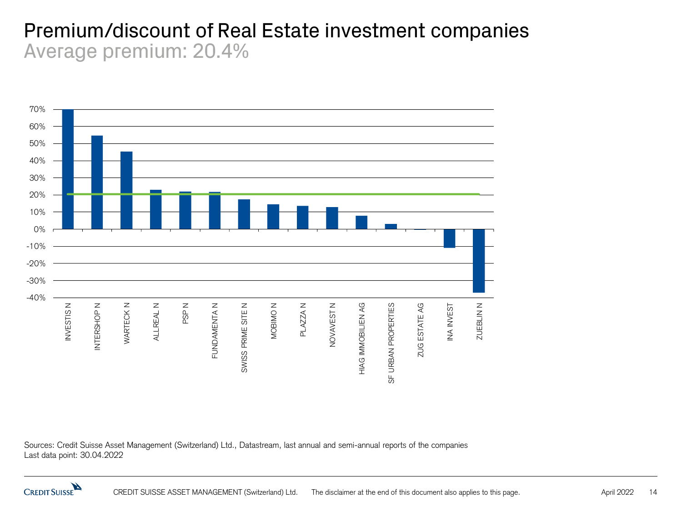#### Premium/discount of Real Estate investment companies Average premium: 20.4%



Sources: Credit Suisse Asset Management (Switzerland) Ltd., Datastream, last annual and semi-annual reports of the companies Last data point: 30.04.2022

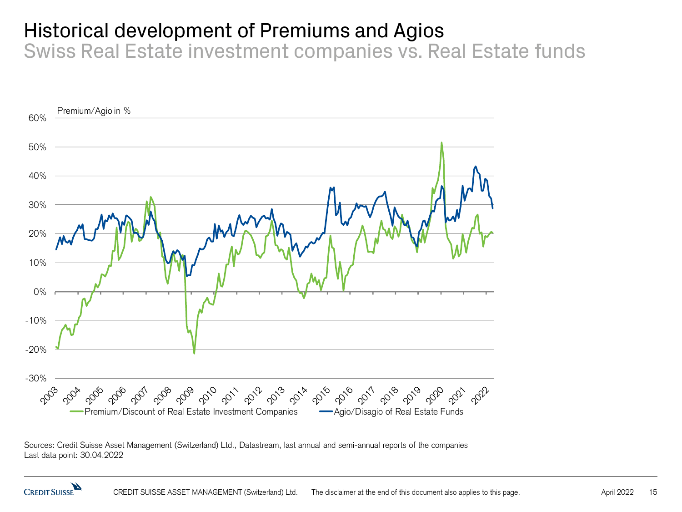## Historical development of Premiums and Agios

Swiss Real Estate investment companies vs. Real Estate funds



Sources: Credit Suisse Asset Management (Switzerland) Ltd., Datastream, last annual and semi-annual reports of the companies Last data point: 30.04.2022

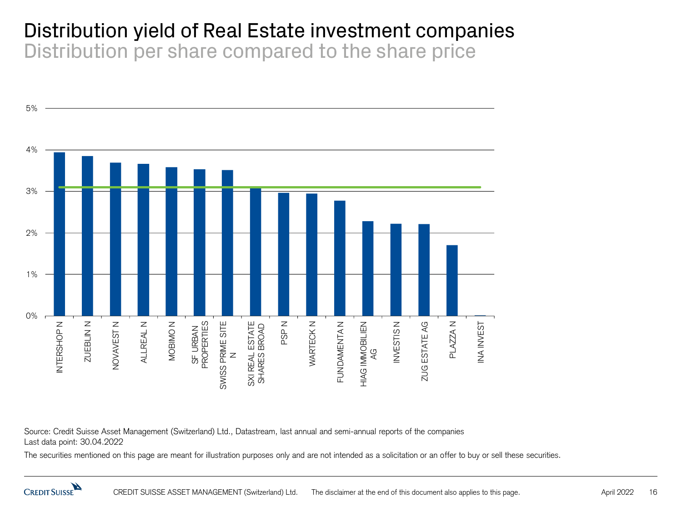#### Distribution yield of Real Estate investment companies Distribution per share compared to the share price



Source: Credit Suisse Asset Management (Switzerland) Ltd., Datastream, last annual and semi-annual reports of the companies Last data point: 30.04.2022

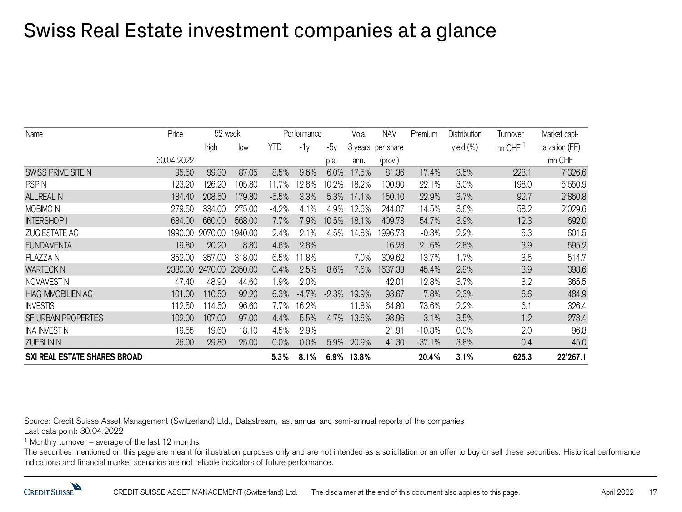## Swiss Real Estate investment companies at a glance

| Name                         | Price      | 52 week |                 | Performance |         |         | Vola. | <b>NAV</b>        | Premium  | Distribution | Turnover | Market capi-    |
|------------------------------|------------|---------|-----------------|-------------|---------|---------|-------|-------------------|----------|--------------|----------|-----------------|
|                              |            | high    | low             | YTD         | $-1v$   | $-5y$   |       | 3 years per share |          | yield (%)    | mn CHF   | talization (FF) |
|                              | 30.04.2022 |         |                 |             |         | p.a.    | ann.  | (prov.)           |          |              |          | mn CHF          |
| SWISS PRIME SITE N           | 95.50      | 99.30   | 87.05           | 8.5%        | 9.6%    | 6.0%    | 17.5% | 81.36             | 17.4%    | 3.5%         | 228.1    | 7'326.6         |
| PSP <sub>N</sub>             | 123.20     | 126.20  | 105.80          | 11.7%       | 12.8%   | 10.2%   | 18.2% | 100.90            | 22.1%    | 3.0%         | 198.0    | 5'650.9         |
| <b>ALLREAL N</b>             | 184.40     | 208.50  | 179.80          | $-5.5%$     | 3.3%    | 5.3%    | 14.1% | 150.10            | 22.9%    | 3.7%         | 92.7     | 2'860.8         |
| MOBIMO <sub>N</sub>          | 279.50     | 334.00  | 275.00          | $-4.2\%$    | 4.1%    | 4.9%    | 12.6% | 244.07            | 14.5%    | 3.6%         | 58.2     | 2'029.6         |
| <b>INTERSHOP I</b>           | 634.00     | 660.00  | 568.00          | 7.7%        | 7.9%    | 10.5%   | 18.1% | 409.73            | 54.7%    | 3.9%         | 12.3     | 692.0           |
| ZUG ESTATE AG                | 1990.00    | 2070.00 | 1940.00         | 2.4%        | 2.1%    | 4.5%    | 14.8% | 1996.73           | $-0.3%$  | 2.2%         | 5.3      | 601.5           |
| <b>FUNDAMENTA</b>            | 19.80      | 20.20   | 18.80           | 4.6%        | 2.8%    |         |       | 16.28             | 21.6%    | 2.8%         | 3.9      | 595.2           |
| PLAZZA N                     | 352.00     | 357.00  | 318.00          | 6.5%        | 1.8%    |         | 7.0%  | 309.62            | 13.7%    | 1.7%         | 3.5      | 514.7           |
| <b>WARTECK N</b>             | 2380.00    |         | 2470.00 2350.00 | 0.4%        | 2.5%    | 8.6%    | 7.6%  | 1637.33           | 45.4%    | 2.9%         | 3.9      | 398.6           |
| NOVAVEST N                   | 47.40      | 48.90   | 44.60           | l.9%        | 2.0%    |         |       | 42.01             | 12.8%    | 3.7%         | 3.2      | 365.5           |
| <b>HIAG IMMOBILIEN AG</b>    | 101.00     | 110.50  | 92.20           | 6.3%        | $-4.7%$ | $-2.3%$ | 19.9% | 93.67             | 7.8%     | 2.3%         | 6.6      | 484.9           |
| <b>INVESTIS</b>              | 112.50     | 14.50   | 96.60           | 7.7%        | 16.2%   |         | 11.8% | 64.80             | 73.6%    | 2.2%         | 6.1      | 326.4           |
| SF URBAN PROPERTIES          | 102.00     | 107.00  | 97.00           | 4.4%        | 5.5%    | 4.7%    | 13.6% | 98.96             | 3.1%     | 3.5%         | 1.2      | 278.4           |
| INA INVEST N                 | 19.55      | 19.60   | 18.10           | 4.5%        | 2.9%    |         |       | 21.91             | $-10.8%$ | 0.0%         | 2.0      | 96.8            |
| <b>ZUEBLIN N</b>             | 26.00      | 29.80   | 25.00           | 0.0%        | 0.0%    | 5.9%    | 20.9% | 41.30             | $-37.1%$ | 3.8%         | 0.4      | 45.0            |
| SXI REAL ESTATE SHARES BROAD |            |         |                 | 5.3%        | 8.1%    | $6.9\%$ | 13.8% |                   | 20.4%    | 3.1%         | 625.3    | 22'267.1        |

Source: Credit Suisse Asset Management (Switzerland) Ltd., Datastream, last annual and semi-annual reports of the companies Last data point: 30.04.2022

 $1$  Monthly turnover – average of the last 12 months

The securities mentioned on this page are meant for illustration purposes only and are not intended as a solicitation or an offer to buy or sell these securities. Historical performance indications and financial market scenarios are not reliable indicators of future performance.

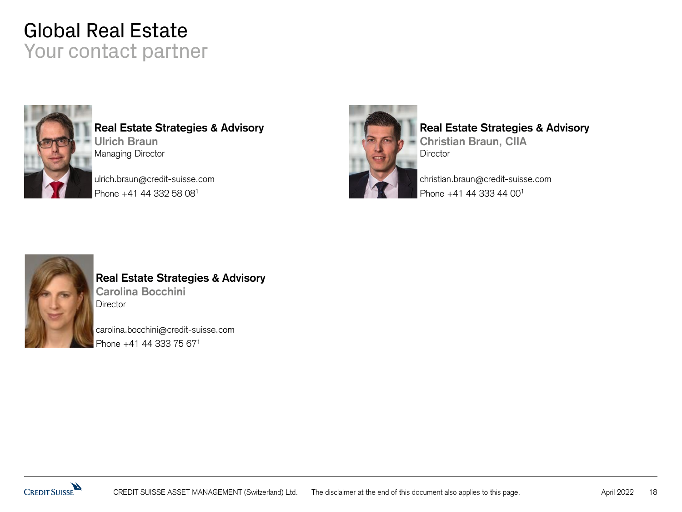#### Global Real Estate Your contact partner



**Real Estate Strategies & Advisory Ulrich Braun** Managing Director

ulrich.braun@credit-suisse.com Phone +41 44 332 58 08<sup>1</sup>



#### **Real Estate Strategies & Advisory**

**Christian Braun, CIIA Director** 

christian.braun@credit-suisse.com Phone +41 44 333 44 00<sup>1</sup>



#### **Real Estate Strategies & Advisory Carolina Bocchini Director**

carolina.bocchini@credit-suisse.com Phone +41 44 333 75 671

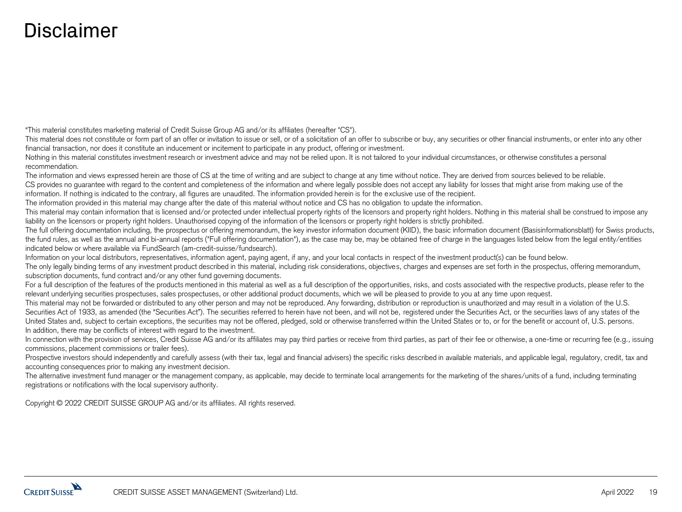#### Disclaimer

"This material constitutes marketing material of Credit Suisse Group AG and/or its affiliates (hereafter "CS").

This material does not constitute or form part of an offer or invitation to issue or sell, or of a solicitation of an offer to subscribe or buy, any securities or other financial instruments, or enter into any other financial transaction, nor does it constitute an inducement or incitement to participate in any product, offering or investment.

Nothing in this material constitutes investment research or investment advice and may not be relied upon. It is not tailored to your individual circumstances, or otherwise constitutes a personal recommendation.

The information and views expressed herein are those of CS at the time of writing and are subject to change at any time without notice. They are derived from sources believed to be reliable. CS provides no guarantee with regard to the content and completeness of the information and where legally possible does not accept any liability for losses that might arise from making use of the information. If nothing is indicated to the contrary, all figures are unaudited. The information provided herein is for the exclusive use of the recipient.

The information provided in this material may change after the date of this material without notice and CS has no obligation to update the information.

This material may contain information that is licensed and/or protected under intellectual property rights of the licensors and property right holders. Nothing in this material shall be construed to impose any liability on the licensors or property right holders. Unauthorised copying of the information of the licensors or property right holders is strictly prohibited.

The full offering documentation including, the prospectus or offering memorandum, the key investor information document (KIID), the basic information document (Basisinformationsblatt) for Swiss products, the fund rules, as well as the annual and bi-annual reports ("Full offering documentation"), as the case may be, may be obtained free of charge in the languages listed below from the legal entity/entities indicated below or where available via FundSearch (am-credit-suisse/fundsearch).

Information on your local distributors, representatives, information agent, paying agent, if any, and your local contacts in respect of the investment product(s) can be found below.

The only legally binding terms of any investment product described in this material, including risk considerations, objectives, charges and expenses are set forth in the prospectus, offering memorandum, subscription documents, fund contract and/or any other fund governing documents.

For a full description of the features of the products mentioned in this material as well as a full description of the opportunities, risks, and costs associated with the respective products, please refer to the relevant underlying securities prospectuses, sales prospectuses, or other additional product documents, which we will be pleased to provide to you at any time upon request.

This material may not be forwarded or distributed to any other person and may not be reproduced. Any forwarding, distribution or reproduction is unauthorized and may result in a violation of the U.S. Securities Act of 1933, as amended (the "Securities Act"). The securities referred to herein have not been, and will not be, registered under the Securities Act, or the securities laws of any states of the United States and, subject to certain exceptions, the securities may not be offered, pledged, sold or otherwise transferred within the United States or to, or for the benefit or account of, U.S. persons. In addition, there may be conflicts of interest with regard to the investment.

In connection with the provision of services, Credit Suisse AG and/or its affiliates may pay third parties or receive from third parties, as part of their fee or otherwise, a one-time or recurring fee (e.g., issuing commissions, placement commissions or trailer fees).

Prospective investors should independently and carefully assess (with their tax, legal and financial advisers) the specific risks described in available materials, and applicable legal, regulatory, credit, tax and accounting consequences prior to making any investment decision.

The alternative investment fund manager or the management company, as applicable, may decide to terminate local arrangements for the marketing of the shares/units of a fund, including terminating registrations or notifications with the local supervisory authority.

Copyright © 2022 CREDIT SUISSE GROUP AG and/or its affiliates. All rights reserved.